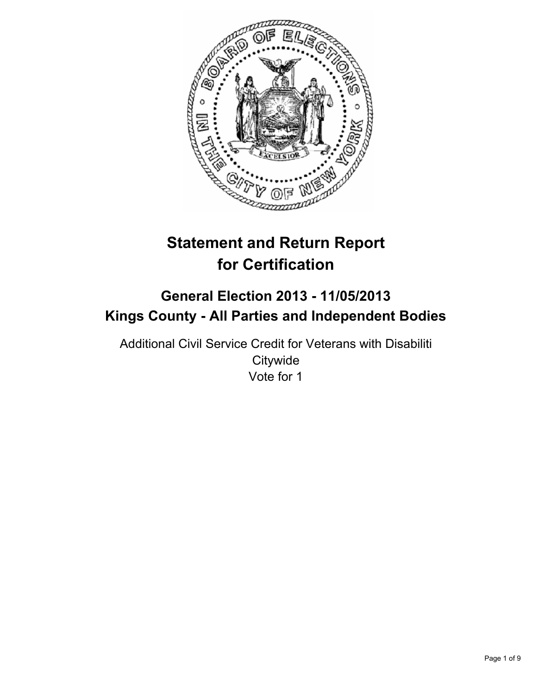

# **Statement and Return Report for Certification**

## **General Election 2013 - 11/05/2013 Kings County - All Parties and Independent Bodies**

Additional Civil Service Credit for Veterans with Disabiliti **Citywide** Vote for 1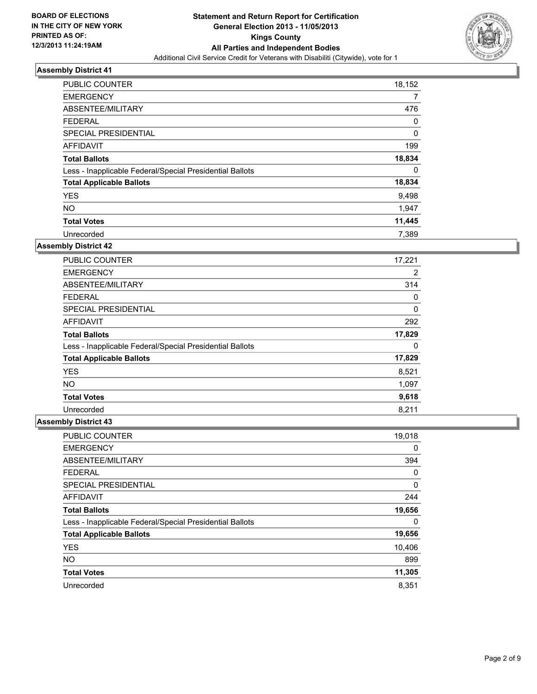

| <b>PUBLIC COUNTER</b>                                    | 18,152 |
|----------------------------------------------------------|--------|
| <b>EMERGENCY</b>                                         | 7      |
| ABSENTEE/MILITARY                                        | 476    |
| <b>FEDERAL</b>                                           | 0      |
| SPECIAL PRESIDENTIAL                                     | 0      |
| AFFIDAVIT                                                | 199    |
| <b>Total Ballots</b>                                     | 18,834 |
| Less - Inapplicable Federal/Special Presidential Ballots | 0      |
| <b>Total Applicable Ballots</b>                          | 18,834 |
| <b>YES</b>                                               | 9,498  |
| <b>NO</b>                                                | 1,947  |
| <b>Total Votes</b>                                       | 11,445 |
| Unrecorded                                               | 7,389  |

### **Assembly District 42**

| <b>PUBLIC COUNTER</b>                                    | 17,221 |
|----------------------------------------------------------|--------|
| <b>EMERGENCY</b>                                         | 2      |
| ABSENTEE/MILITARY                                        | 314    |
| <b>FEDERAL</b>                                           | 0      |
| <b>SPECIAL PRESIDENTIAL</b>                              | 0      |
| AFFIDAVIT                                                | 292    |
| <b>Total Ballots</b>                                     | 17,829 |
| Less - Inapplicable Federal/Special Presidential Ballots | 0      |
| <b>Total Applicable Ballots</b>                          | 17,829 |
| <b>YES</b>                                               | 8,521  |
| <b>NO</b>                                                | 1,097  |
| <b>Total Votes</b>                                       | 9,618  |
| Unrecorded                                               | 8,211  |

| PUBLIC COUNTER                                           | 19,018 |
|----------------------------------------------------------|--------|
| <b>EMERGENCY</b>                                         | 0      |
| ABSENTEE/MILITARY                                        | 394    |
| <b>FEDERAL</b>                                           | 0      |
| SPECIAL PRESIDENTIAL                                     | 0      |
| AFFIDAVIT                                                | 244    |
| <b>Total Ballots</b>                                     | 19,656 |
| Less - Inapplicable Federal/Special Presidential Ballots | 0      |
| <b>Total Applicable Ballots</b>                          | 19,656 |
| <b>YES</b>                                               | 10,406 |
| <b>NO</b>                                                | 899    |
| <b>Total Votes</b>                                       | 11,305 |
| Unrecorded                                               | 8,351  |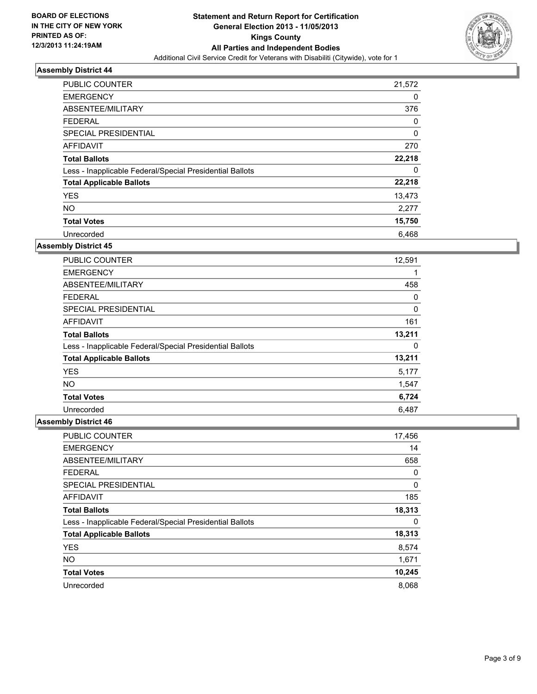

| <b>PUBLIC COUNTER</b>                                    | 21,572      |
|----------------------------------------------------------|-------------|
| <b>EMERGENCY</b>                                         | 0           |
| ABSENTEE/MILITARY                                        | 376         |
| <b>FEDERAL</b>                                           | 0           |
| SPECIAL PRESIDENTIAL                                     | $\mathbf 0$ |
| AFFIDAVIT                                                | 270         |
| <b>Total Ballots</b>                                     | 22,218      |
| Less - Inapplicable Federal/Special Presidential Ballots | 0           |
| <b>Total Applicable Ballots</b>                          | 22,218      |
| <b>YES</b>                                               | 13,473      |
| <b>NO</b>                                                | 2,277       |
| <b>Total Votes</b>                                       | 15,750      |
| Unrecorded                                               | 6,468       |

### **Assembly District 45**

| <b>PUBLIC COUNTER</b>                                    | 12,591 |
|----------------------------------------------------------|--------|
| <b>EMERGENCY</b>                                         | 1      |
| ABSENTEE/MILITARY                                        | 458    |
| <b>FEDERAL</b>                                           | 0      |
| SPECIAL PRESIDENTIAL                                     | 0      |
| AFFIDAVIT                                                | 161    |
| <b>Total Ballots</b>                                     | 13,211 |
| Less - Inapplicable Federal/Special Presidential Ballots | 0      |
| <b>Total Applicable Ballots</b>                          | 13,211 |
| <b>YES</b>                                               | 5,177  |
| <b>NO</b>                                                | 1,547  |
| <b>Total Votes</b>                                       | 6,724  |
| Unrecorded                                               | 6,487  |

| <b>PUBLIC COUNTER</b>                                    | 17,456 |
|----------------------------------------------------------|--------|
| <b>EMERGENCY</b>                                         | 14     |
| ABSENTEE/MILITARY                                        | 658    |
| <b>FEDERAL</b>                                           | 0      |
| SPECIAL PRESIDENTIAL                                     | 0      |
| AFFIDAVIT                                                | 185    |
| <b>Total Ballots</b>                                     | 18,313 |
| Less - Inapplicable Federal/Special Presidential Ballots | 0      |
| <b>Total Applicable Ballots</b>                          | 18,313 |
| <b>YES</b>                                               | 8,574  |
| <b>NO</b>                                                | 1,671  |
| <b>Total Votes</b>                                       | 10,245 |
| Unrecorded                                               | 8,068  |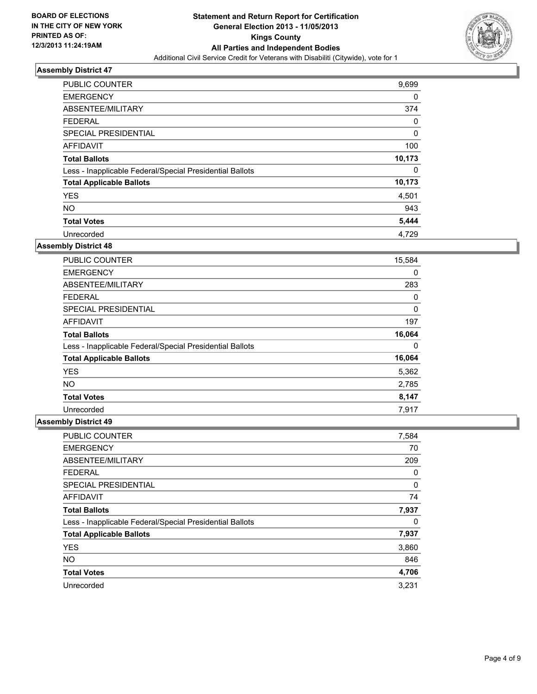

| <b>PUBLIC COUNTER</b>                                    | 9,699  |
|----------------------------------------------------------|--------|
| <b>EMERGENCY</b>                                         | 0      |
| ABSENTEE/MILITARY                                        | 374    |
| <b>FEDERAL</b>                                           | 0      |
| SPECIAL PRESIDENTIAL                                     | 0      |
| AFFIDAVIT                                                | 100    |
| <b>Total Ballots</b>                                     | 10,173 |
| Less - Inapplicable Federal/Special Presidential Ballots | 0      |
| <b>Total Applicable Ballots</b>                          | 10,173 |
| <b>YES</b>                                               | 4,501  |
| <b>NO</b>                                                | 943    |
| <b>Total Votes</b>                                       | 5,444  |
| Unrecorded                                               | 4.729  |

### **Assembly District 48**

| <b>PUBLIC COUNTER</b>                                    | 15,584 |
|----------------------------------------------------------|--------|
| <b>EMERGENCY</b>                                         | 0      |
| ABSENTEE/MILITARY                                        | 283    |
| <b>FEDERAL</b>                                           | 0      |
| <b>SPECIAL PRESIDENTIAL</b>                              | 0      |
| AFFIDAVIT                                                | 197    |
| <b>Total Ballots</b>                                     | 16,064 |
| Less - Inapplicable Federal/Special Presidential Ballots | 0      |
| <b>Total Applicable Ballots</b>                          | 16,064 |
| <b>YES</b>                                               | 5,362  |
| <b>NO</b>                                                | 2,785  |
| <b>Total Votes</b>                                       | 8,147  |
| Unrecorded                                               | 7,917  |

| <b>PUBLIC COUNTER</b>                                    | 7,584 |
|----------------------------------------------------------|-------|
| <b>EMERGENCY</b>                                         | 70    |
| ABSENTEE/MILITARY                                        | 209   |
| <b>FEDERAL</b>                                           | 0     |
| SPECIAL PRESIDENTIAL                                     | 0     |
| <b>AFFIDAVIT</b>                                         | 74    |
| <b>Total Ballots</b>                                     | 7,937 |
| Less - Inapplicable Federal/Special Presidential Ballots | 0     |
| <b>Total Applicable Ballots</b>                          | 7,937 |
| <b>YES</b>                                               | 3,860 |
| <b>NO</b>                                                | 846   |
| <b>Total Votes</b>                                       | 4,706 |
| Unrecorded                                               | 3,231 |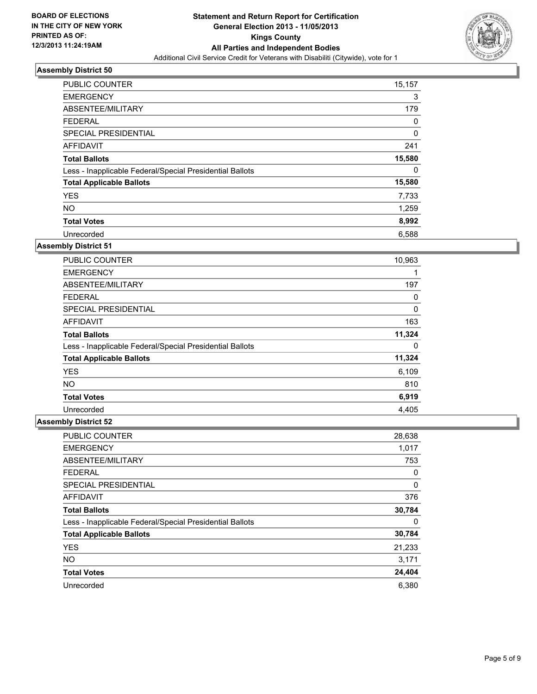

| PUBLIC COUNTER                                           | 15,157 |
|----------------------------------------------------------|--------|
| <b>EMERGENCY</b>                                         | 3      |
| ABSENTEE/MILITARY                                        | 179    |
| <b>FEDERAL</b>                                           | 0      |
| SPECIAL PRESIDENTIAL                                     | 0      |
| AFFIDAVIT                                                | 241    |
| <b>Total Ballots</b>                                     | 15,580 |
| Less - Inapplicable Federal/Special Presidential Ballots | 0      |
| <b>Total Applicable Ballots</b>                          | 15,580 |
| <b>YES</b>                                               | 7,733  |
| <b>NO</b>                                                | 1,259  |
| <b>Total Votes</b>                                       | 8,992  |
| Unrecorded                                               | 6,588  |

### **Assembly District 51**

| <b>PUBLIC COUNTER</b>                                    | 10,963 |
|----------------------------------------------------------|--------|
| <b>EMERGENCY</b>                                         | 1      |
| ABSENTEE/MILITARY                                        | 197    |
| <b>FEDERAL</b>                                           | 0      |
| SPECIAL PRESIDENTIAL                                     | 0      |
| AFFIDAVIT                                                | 163    |
| <b>Total Ballots</b>                                     | 11,324 |
| Less - Inapplicable Federal/Special Presidential Ballots | 0      |
| <b>Total Applicable Ballots</b>                          | 11,324 |
| <b>YES</b>                                               | 6,109  |
| NO.                                                      | 810    |
| <b>Total Votes</b>                                       | 6,919  |
| Unrecorded                                               | 4,405  |

| <b>PUBLIC COUNTER</b>                                    | 28,638 |
|----------------------------------------------------------|--------|
| <b>EMERGENCY</b>                                         | 1,017  |
| ABSENTEE/MILITARY                                        | 753    |
| <b>FEDERAL</b>                                           | 0      |
| SPECIAL PRESIDENTIAL                                     | 0      |
| <b>AFFIDAVIT</b>                                         | 376    |
| <b>Total Ballots</b>                                     | 30,784 |
| Less - Inapplicable Federal/Special Presidential Ballots | 0      |
| <b>Total Applicable Ballots</b>                          | 30,784 |
| <b>YES</b>                                               | 21,233 |
| <b>NO</b>                                                | 3,171  |
| <b>Total Votes</b>                                       | 24,404 |
| Unrecorded                                               | 6,380  |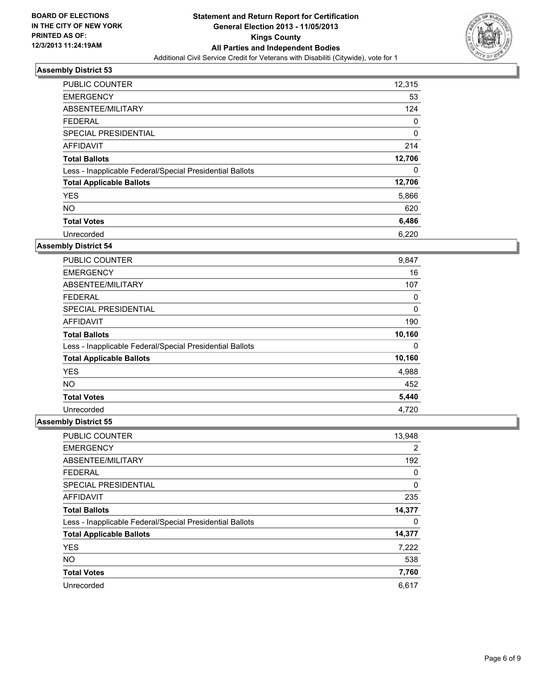

| <b>PUBLIC COUNTER</b>                                    | 12,315      |
|----------------------------------------------------------|-------------|
| <b>EMERGENCY</b>                                         | 53          |
| ABSENTEE/MILITARY                                        | 124         |
| <b>FEDERAL</b>                                           | 0           |
| SPECIAL PRESIDENTIAL                                     | $\mathbf 0$ |
| AFFIDAVIT                                                | 214         |
| <b>Total Ballots</b>                                     | 12,706      |
| Less - Inapplicable Federal/Special Presidential Ballots | 0           |
| <b>Total Applicable Ballots</b>                          | 12,706      |
| <b>YES</b>                                               | 5,866       |
| <b>NO</b>                                                | 620         |
| <b>Total Votes</b>                                       | 6,486       |
| Unrecorded                                               | 6,220       |

### **Assembly District 54**

| <b>PUBLIC COUNTER</b>                                    | 9,847  |
|----------------------------------------------------------|--------|
| <b>EMERGENCY</b>                                         | 16     |
| ABSENTEE/MILITARY                                        | 107    |
| <b>FEDERAL</b>                                           | 0      |
| <b>SPECIAL PRESIDENTIAL</b>                              | 0      |
| AFFIDAVIT                                                | 190    |
| <b>Total Ballots</b>                                     | 10,160 |
| Less - Inapplicable Federal/Special Presidential Ballots | 0      |
| <b>Total Applicable Ballots</b>                          | 10,160 |
| <b>YES</b>                                               | 4,988  |
| <b>NO</b>                                                | 452    |
| <b>Total Votes</b>                                       | 5,440  |
| Unrecorded                                               | 4,720  |

| <b>PUBLIC COUNTER</b>                                    | 13,948 |
|----------------------------------------------------------|--------|
| <b>EMERGENCY</b>                                         | 2      |
| ABSENTEE/MILITARY                                        | 192    |
| <b>FEDERAL</b>                                           | 0      |
| SPECIAL PRESIDENTIAL                                     | 0      |
| AFFIDAVIT                                                | 235    |
| <b>Total Ballots</b>                                     | 14,377 |
| Less - Inapplicable Federal/Special Presidential Ballots | 0      |
| <b>Total Applicable Ballots</b>                          | 14,377 |
| <b>YES</b>                                               | 7,222  |
| <b>NO</b>                                                | 538    |
| <b>Total Votes</b>                                       | 7,760  |
| Unrecorded                                               | 6,617  |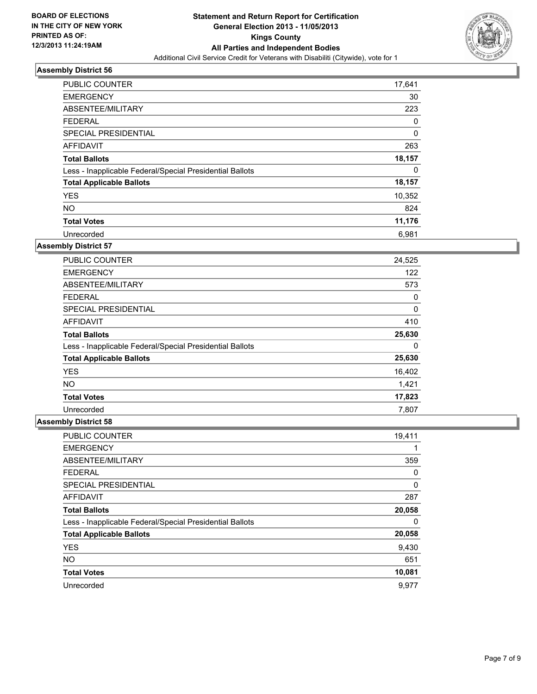

| <b>PUBLIC COUNTER</b>                                    | 17,641 |
|----------------------------------------------------------|--------|
| <b>EMERGENCY</b>                                         | 30     |
| ABSENTEE/MILITARY                                        | 223    |
| <b>FEDERAL</b>                                           | 0      |
| SPECIAL PRESIDENTIAL                                     | 0      |
| AFFIDAVIT                                                | 263    |
| <b>Total Ballots</b>                                     | 18,157 |
| Less - Inapplicable Federal/Special Presidential Ballots | 0      |
| <b>Total Applicable Ballots</b>                          | 18,157 |
| <b>YES</b>                                               | 10,352 |
| <b>NO</b>                                                | 824    |
| <b>Total Votes</b>                                       | 11,176 |
| Unrecorded                                               | 6,981  |

### **Assembly District 57**

| <b>PUBLIC COUNTER</b>                                    | 24,525 |
|----------------------------------------------------------|--------|
| <b>EMERGENCY</b>                                         | 122    |
| ABSENTEE/MILITARY                                        | 573    |
| <b>FEDERAL</b>                                           | 0      |
| SPECIAL PRESIDENTIAL                                     | 0      |
| AFFIDAVIT                                                | 410    |
| <b>Total Ballots</b>                                     | 25,630 |
| Less - Inapplicable Federal/Special Presidential Ballots | 0      |
| <b>Total Applicable Ballots</b>                          | 25,630 |
| <b>YES</b>                                               | 16,402 |
| <b>NO</b>                                                | 1,421  |
| <b>Total Votes</b>                                       | 17,823 |
| Unrecorded                                               | 7,807  |

| PUBLIC COUNTER                                           | 19,411 |
|----------------------------------------------------------|--------|
| <b>EMERGENCY</b>                                         |        |
| ABSENTEE/MILITARY                                        | 359    |
| <b>FEDERAL</b>                                           | 0      |
| SPECIAL PRESIDENTIAL                                     | 0      |
| AFFIDAVIT                                                | 287    |
| <b>Total Ballots</b>                                     | 20,058 |
| Less - Inapplicable Federal/Special Presidential Ballots | 0      |
| <b>Total Applicable Ballots</b>                          | 20,058 |
| <b>YES</b>                                               | 9,430  |
| <b>NO</b>                                                | 651    |
| <b>Total Votes</b>                                       | 10,081 |
| Unrecorded                                               | 9,977  |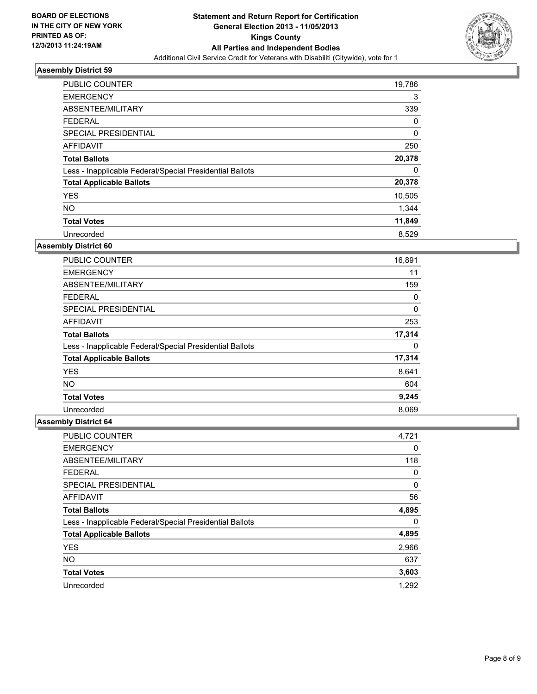

| PUBLIC COUNTER                                           | 19,786 |
|----------------------------------------------------------|--------|
| <b>EMERGENCY</b>                                         | 3      |
| ABSENTEE/MILITARY                                        | 339    |
| <b>FEDERAL</b>                                           | 0      |
| SPECIAL PRESIDENTIAL                                     | 0      |
| AFFIDAVIT                                                | 250    |
| <b>Total Ballots</b>                                     | 20,378 |
| Less - Inapplicable Federal/Special Presidential Ballots | 0      |
| <b>Total Applicable Ballots</b>                          | 20,378 |
| <b>YES</b>                                               | 10,505 |
| <b>NO</b>                                                | 1,344  |
| <b>Total Votes</b>                                       | 11,849 |
| Unrecorded                                               | 8,529  |

### **Assembly District 60**

| PUBLIC COUNTER                                           | 16,891 |
|----------------------------------------------------------|--------|
| <b>EMERGENCY</b>                                         | 11     |
| ABSENTEE/MILITARY                                        | 159    |
| <b>FEDERAL</b>                                           | 0      |
| <b>SPECIAL PRESIDENTIAL</b>                              | 0      |
| AFFIDAVIT                                                | 253    |
| <b>Total Ballots</b>                                     | 17,314 |
| Less - Inapplicable Federal/Special Presidential Ballots | 0      |
| <b>Total Applicable Ballots</b>                          | 17,314 |
| <b>YES</b>                                               | 8,641  |
| <b>NO</b>                                                | 604    |
| <b>Total Votes</b>                                       | 9,245  |
| Unrecorded                                               | 8,069  |

| <b>PUBLIC COUNTER</b>                                    | 4,721 |
|----------------------------------------------------------|-------|
| <b>EMERGENCY</b>                                         | 0     |
| ABSENTEE/MILITARY                                        | 118   |
| <b>FEDERAL</b>                                           | 0     |
| SPECIAL PRESIDENTIAL                                     | 0     |
| AFFIDAVIT                                                | 56    |
| <b>Total Ballots</b>                                     | 4,895 |
| Less - Inapplicable Federal/Special Presidential Ballots | 0     |
| <b>Total Applicable Ballots</b>                          | 4,895 |
| <b>YES</b>                                               | 2,966 |
| <b>NO</b>                                                | 637   |
| <b>Total Votes</b>                                       | 3,603 |
| Unrecorded                                               | 1,292 |